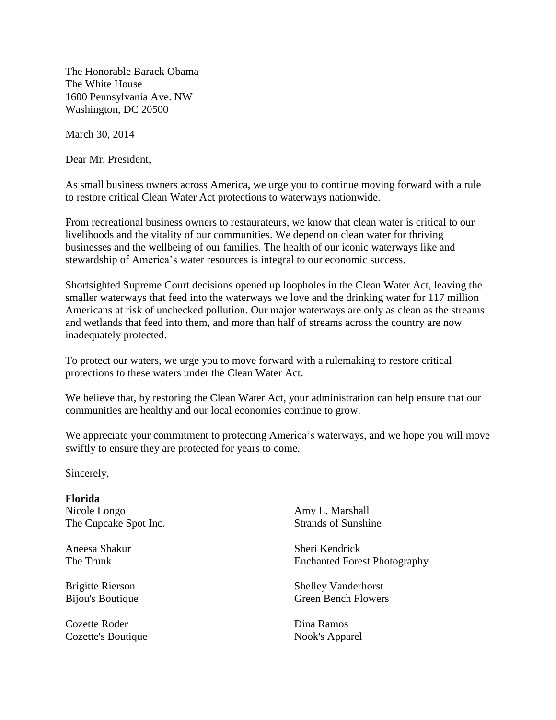The Honorable Barack Obama The White House 1600 Pennsylvania Ave. NW Washington, DC 20500

March 30, 2014

Dear Mr. President,

As small business owners across America, we urge you to continue moving forward with a rule to restore critical Clean Water Act protections to waterways nationwide.

From recreational business owners to restaurateurs, we know that clean water is critical to our livelihoods and the vitality of our communities. We depend on clean water for thriving businesses and the wellbeing of our families. The health of our iconic waterways like and stewardship of America's water resources is integral to our economic success.

Shortsighted Supreme Court decisions opened up loopholes in the Clean Water Act, leaving the smaller waterways that feed into the waterways we love and the drinking water for 117 million Americans at risk of unchecked pollution. Our major waterways are only as clean as the streams and wetlands that feed into them, and more than half of streams across the country are now inadequately protected.

To protect our waters, we urge you to move forward with a rulemaking to restore critical protections to these waters under the Clean Water Act.

We believe that, by restoring the Clean Water Act, your administration can help ensure that our communities are healthy and our local economies continue to grow.

We appreciate your commitment to protecting America's waterways, and we hope you will move swiftly to ensure they are protected for years to come.

Sincerely,

**Florida**  Nicole Longo The Cupcake Spot Inc.

Aneesa Shakur The Trunk

Brigitte Rierson Bijou's Boutique

Cozette Roder Cozette's Boutique Amy L. Marshall Strands of Sunshine

Sheri Kendrick Enchanted Forest Photography

Shelley Vanderhorst Green Bench Flowers

Dina Ramos Nook's Apparel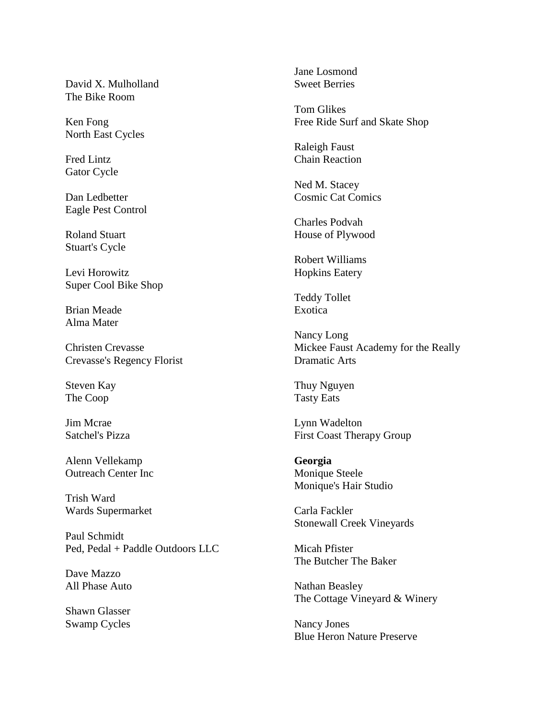David X. Mulholland The Bike Room

Ken Fong North East Cycles

Fred Lintz Gator Cycle

Dan Ledbetter Eagle Pest Control

Roland Stuart Stuart's Cycle

Levi Horowitz Super Cool Bike Shop

Brian Meade Alma Mater

Christen Crevasse Crevasse's Regency Florist

Steven Kay The Coop

Jim Mcrae Satchel's Pizza

Alenn Vellekamp Outreach Center Inc

Trish Ward Wards Supermarket

Paul Schmidt Ped, Pedal + Paddle Outdoors LLC

Dave Mazzo All Phase Auto

Shawn Glasser Swamp Cycles Jane Losmond Sweet Berries

Tom Glikes Free Ride Surf and Skate Shop

Raleigh Faust Chain Reaction

Ned M. Stacey Cosmic Cat Comics

Charles Podvah House of Plywood

Robert Williams Hopkins Eatery

Teddy Tollet Exotica

Nancy Long Mickee Faust Academy for the Really Dramatic Arts

Thuy Nguyen Tasty Eats

Lynn Wadelton First Coast Therapy Group

**Georgia**  Monique Steele Monique's Hair Studio

Carla Fackler Stonewall Creek Vineyards

Micah Pfister The Butcher The Baker

Nathan Beasley The Cottage Vineyard & Winery

Nancy Jones Blue Heron Nature Preserve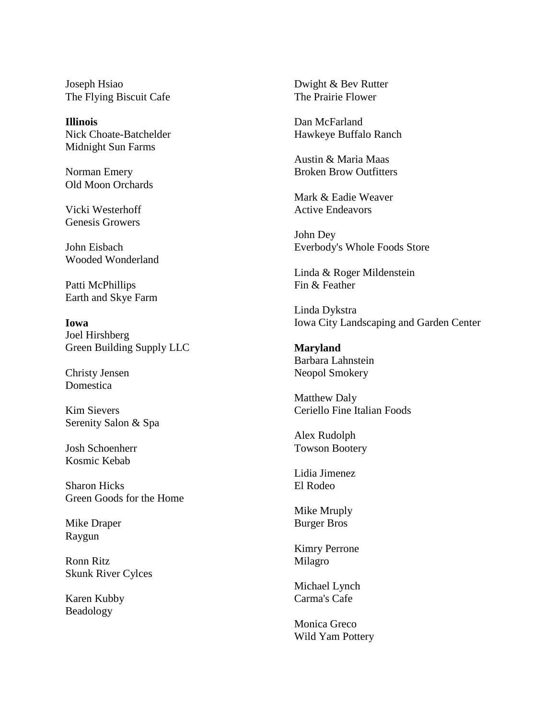Joseph Hsiao The Flying Biscuit Cafe

**Illinois**  Nick Choate-Batchelder Midnight Sun Farms

Norman Emery Old Moon Orchards

Vicki Westerhoff Genesis Growers

John Eisbach Wooded Wonderland

Patti McPhillips Earth and Skye Farm

**Iowa**  Joel Hirshberg Green Building Supply LLC

Christy Jensen Domestica

Kim Sievers Serenity Salon & Spa

Josh Schoenherr Kosmic Kebab

Sharon Hicks Green Goods for the Home

Mike Draper Raygun

Ronn Ritz Skunk River Cylces

Karen Kubby Beadology

Dwight & Bev Rutter The Prairie Flower

Dan McFarland Hawkeye Buffalo Ranch

Austin & Maria Maas Broken Brow Outfitters

Mark & Eadie Weaver Active Endeavors

John Dey Everbody's Whole Foods Store

Linda & Roger Mildenstein Fin & Feather

Linda Dykstra Iowa City Landscaping and Garden Center

**Maryland**  Barbara Lahnstein Neopol Smokery

Matthew Daly Ceriello Fine Italian Foods

Alex Rudolph Towson Bootery

Lidia Jimenez El Rodeo

Mike Mruply Burger Bros

Kimry Perrone Milagro

Michael Lynch Carma's Cafe

Monica Greco Wild Yam Pottery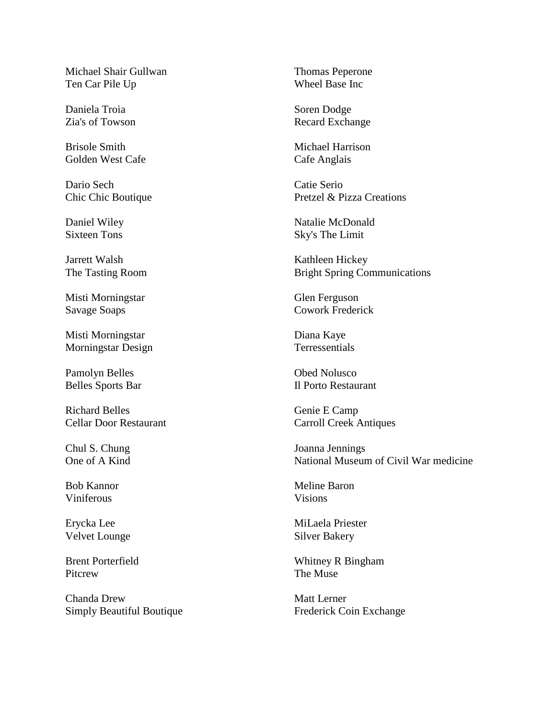Michael Shair Gullwan Ten Car Pile Up

Daniela Troia Zia's of Towson

Brisole Smith Golden West Cafe

Dario Sech Chic Chic Boutique

Daniel Wiley Sixteen Tons

Jarrett Walsh The Tasting Room

Misti Morningstar Savage Soaps

Misti Morningstar Morningstar Design

Pamolyn Belles Belles Sports Bar

Richard Belles Cellar Door Restaurant

Chul S. Chung One of A Kind

Bob Kannor Viniferous

Erycka Lee Velvet Lounge

Brent Porterfield **Pitcrew** 

Chanda Drew Simply Beautiful Boutique Thomas Peperone Wheel Base Inc

Soren Dodge Recard Exchange

Michael Harrison Cafe Anglais

Catie Serio Pretzel & Pizza Creations

Natalie McDonald Sky's The Limit

Kathleen Hickey Bright Spring Communications

Glen Ferguson Cowork Frederick

Diana Kaye Terressentials

Obed Nolusco Il Porto Restaurant

Genie E Camp Carroll Creek Antiques

Joanna Jennings National Museum of Civil War medicine

Meline Baron Visions

MiLaela Priester Silver Bakery

Whitney R Bingham The Muse

Matt Lerner Frederick Coin Exchange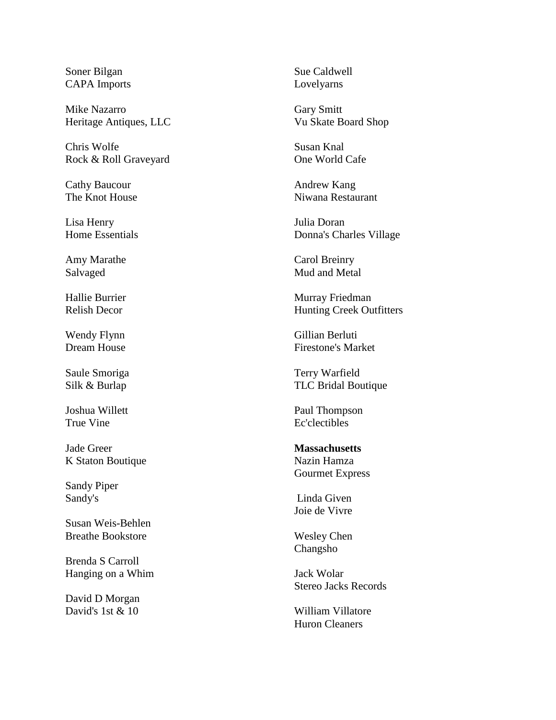Soner Bilgan CAPA Imports

Mike Nazarro Heritage Antiques, LLC

Chris Wolfe Rock & Roll Graveyard

Cathy Baucour The Knot House

Lisa Henry Home Essentials

Amy Marathe Salvaged

Hallie Burrier Relish Decor

Wendy Flynn Dream House

Saule Smoriga Silk & Burlap

Joshua Willett True Vine

Jade Greer K Staton Boutique

Sandy Piper Sandy's

Susan Weis-Behlen Breathe Bookstore

Brenda S Carroll Hanging on a Whim

David D Morgan David's 1st & 10

Sue Caldwell Lovelyarns

Gary Smitt Vu Skate Board Shop

Susan Knal One World Cafe

Andrew Kang Niwana Restaurant

Julia Doran Donna's Charles Village

Carol Breinry Mud and Metal

Murray Friedman Hunting Creek Outfitters

Gillian Berluti Firestone's Market

Terry Warfield TLC Bridal Boutique

Paul Thompson Ec'clectibles

## **Massachusetts**  Nazin Hamza Gourmet Express

Linda Given Joie de Vivre

Wesley Chen Changsho

Jack Wolar Stereo Jacks Records

William Villatore Huron Cleaners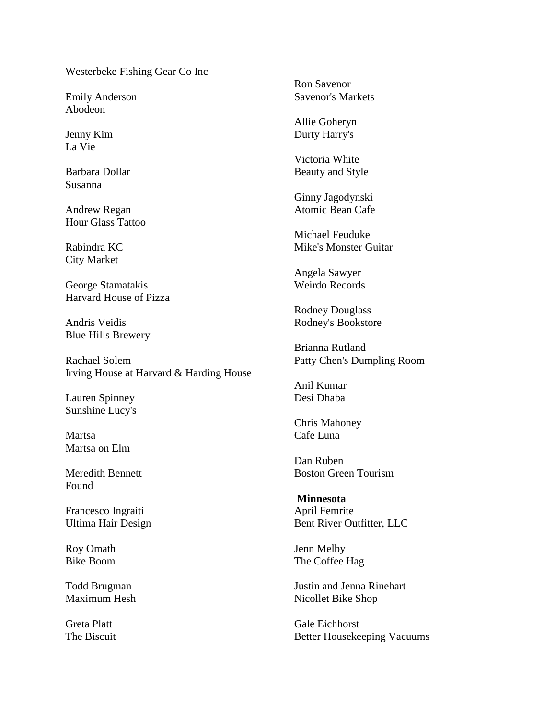Westerbeke Fishing Gear Co Inc

Emily Anderson Abodeon

Jenny Kim La Vie

Barbara Dollar Susanna

Andrew Regan Hour Glass Tattoo

Rabindra KC City Market

George Stamatakis Harvard House of Pizza

Andris Veidis Blue Hills Brewery

Rachael Solem Irving House at Harvard & Harding House

Lauren Spinney Sunshine Lucy's

Martsa Martsa on Elm

Meredith Bennett Found

Francesco Ingraiti Ultima Hair Design

Roy Omath Bike Boom

Todd Brugman Maximum Hesh

Greta Platt The Biscuit Ron Savenor Savenor's Markets

Allie Goheryn Durty Harry's

Victoria White Beauty and Style

Ginny Jagodynski Atomic Bean Cafe

Michael Feuduke Mike's Monster Guitar

Angela Sawyer Weirdo Records

Rodney Douglass Rodney's Bookstore

Brianna Rutland Patty Chen's Dumpling Room

Anil Kumar Desi Dhaba

Chris Mahoney Cafe Luna

Dan Ruben Boston Green Tourism

**Minnesota**  April Femrite Bent River Outfitter, LLC

Jenn Melby The Coffee Hag

Justin and Jenna Rinehart Nicollet Bike Shop

Gale Eichhorst Better Housekeeping Vacuums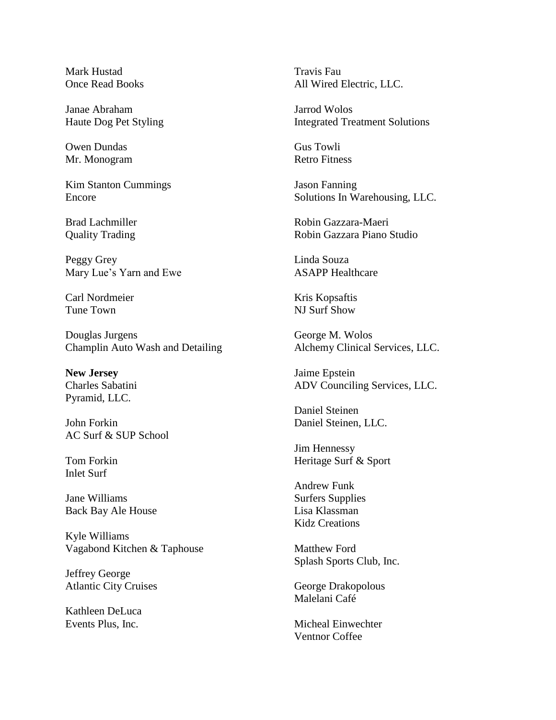Mark Hustad Once Read Books

Janae Abraham Haute Dog Pet Styling

Owen Dundas Mr. Monogram

Kim Stanton Cummings Encore

Brad Lachmiller Quality Trading

Peggy Grey Mary Lue's Yarn and Ewe

Carl Nordmeier Tune Town

Douglas Jurgens Champlin Auto Wash and Detailing

**New Jersey**  Charles Sabatini Pyramid, LLC.

John Forkin AC Surf & SUP School

Tom Forkin Inlet Surf

Jane Williams Back Bay Ale House

Kyle Williams Vagabond Kitchen & Taphouse

Jeffrey George Atlantic City Cruises

Kathleen DeLuca Events Plus, Inc.

Travis Fau All Wired Electric, LLC.

Jarrod Wolos Integrated Treatment Solutions

Gus Towli Retro Fitness

Jason Fanning Solutions In Warehousing, LLC.

Robin Gazzara-Maeri Robin Gazzara Piano Studio

Linda Souza ASAPP Healthcare

Kris Kopsaftis NJ Surf Show

George M. Wolos Alchemy Clinical Services, LLC.

Jaime Epstein ADV Counciling Services, LLC.

Daniel Steinen Daniel Steinen, LLC.

Jim Hennessy Heritage Surf & Sport

Andrew Funk Surfers Supplies Lisa Klassman Kidz Creations

Matthew Ford Splash Sports Club, Inc.

George Drakopolous Malelani Café

Micheal Einwechter Ventnor Coffee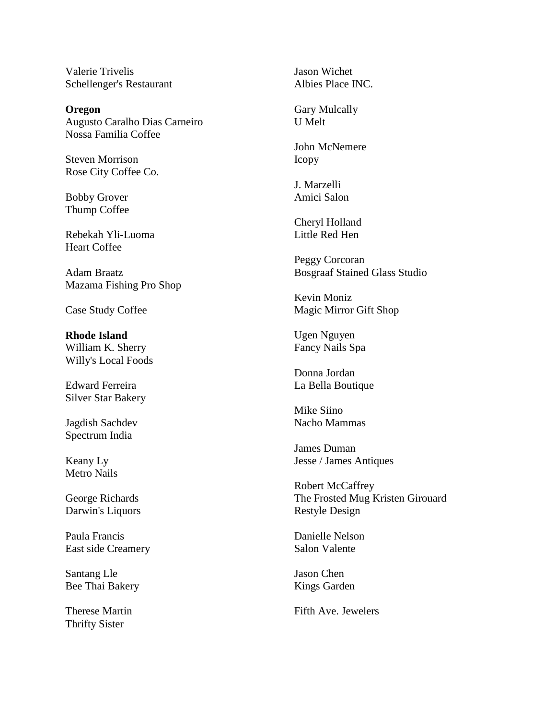Valerie Trivelis Schellenger's Restaurant

**Oregon**  Augusto Caralho Dias Carneiro Nossa Familia Coffee

Steven Morrison Rose City Coffee Co.

Bobby Grover Thump Coffee

Rebekah Yli-Luoma Heart Coffee

Adam Braatz Mazama Fishing Pro Shop

Case Study Coffee

**Rhode Island**  William K. Sherry Willy's Local Foods

Edward Ferreira Silver Star Bakery

Jagdish Sachdev Spectrum India

Keany Ly Metro Nails

George Richards Darwin's Liquors

Paula Francis East side Creamery

Santang Lle Bee Thai Bakery

Therese Martin Thrifty Sister

Jason Wichet Albies Place INC.

Gary Mulcally U Melt

John McNemere Icopy

J. Marzelli Amici Salon

Cheryl Holland Little Red Hen

Peggy Corcoran Bosgraaf Stained Glass Studio

Kevin Moniz Magic Mirror Gift Shop

Ugen Nguyen Fancy Nails Spa

Donna Jordan La Bella Boutique

Mike Siino Nacho Mammas

James Duman Jesse / James Antiques

Robert McCaffrey The Frosted Mug Kristen Girouard Restyle Design

Danielle Nelson Salon Valente

Jason Chen Kings Garden

Fifth Ave. Jewelers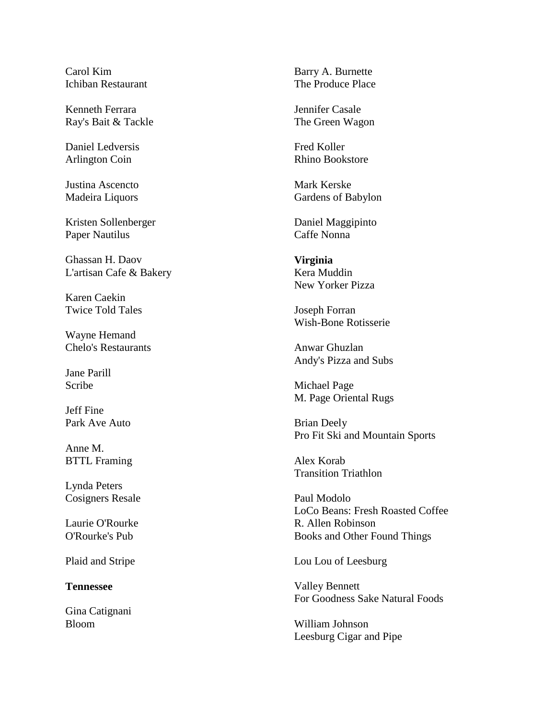Carol Kim Ichiban Restaurant

Kenneth Ferrara Ray's Bait & Tackle

Daniel Ledversis Arlington Coin

Justina Ascencto Madeira Liquors

Kristen Sollenberger Paper Nautilus

Ghassan H. Daov L'artisan Cafe & Bakery

Karen Caekin Twice Told Tales

Wayne Hemand Chelo's Restaurants

Jane Parill Scribe

Jeff Fine Park Ave Auto

Anne M. BTTL Framing

Lynda Peters Cosigners Resale

Laurie O'Rourke O'Rourke's Pub

Plaid and Stripe

**Tennessee** 

Gina Catignani Bloom

Barry A. Burnette The Produce Place

Jennifer Casale The Green Wagon

Fred Koller Rhino Bookstore

Mark Kerske Gardens of Babylon

Daniel Maggipinto Caffe Nonna

**Virginia**  Kera Muddin New Yorker Pizza

Joseph Forran Wish-Bone Rotisserie

Anwar Ghuzlan Andy's Pizza and Subs

Michael Page M. Page Oriental Rugs

Brian Deely Pro Fit Ski and Mountain Sports

Alex Korab Transition Triathlon

Paul Modolo LoCo Beans: Fresh Roasted Coffee R. Allen Robinson Books and Other Found Things

Lou Lou of Leesburg

Valley Bennett For Goodness Sake Natural Foods

William Johnson Leesburg Cigar and Pipe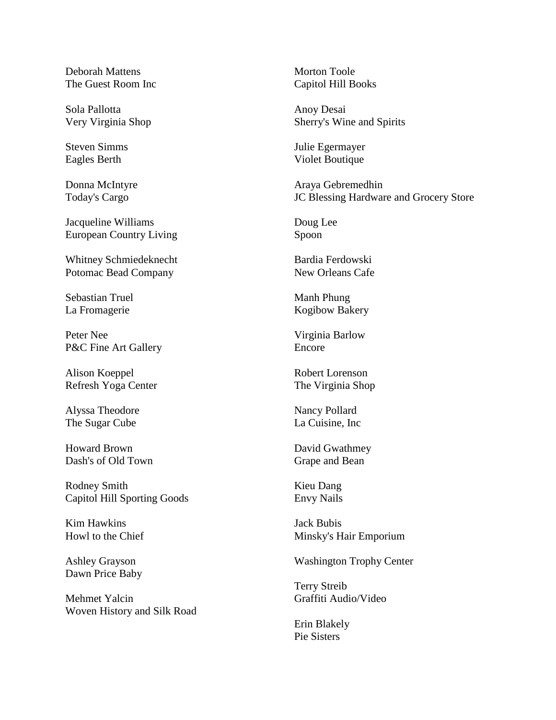Deborah Mattens The Guest Room Inc

Sola Pallotta Very Virginia Shop

Steven Simms Eagles Berth

Donna McIntyre Today's Cargo

Jacqueline Williams European Country Living

Whitney Schmiedeknecht Potomac Bead Company

Sebastian Truel La Fromagerie

Peter Nee P&C Fine Art Gallery

Alison Koeppel Refresh Yoga Center

Alyssa Theodore The Sugar Cube

Howard Brown Dash's of Old Town

Rodney Smith Capitol Hill Sporting Goods

Kim Hawkins Howl to the Chief

Ashley Grayson Dawn Price Baby

Mehmet Yalcin Woven History and Silk Road Morton Toole Capitol Hill Books

Anoy Desai Sherry's Wine and Spirits

Julie Egermayer Violet Boutique

Araya Gebremedhin JC Blessing Hardware and Grocery Store

Doug Lee Spoon

Bardia Ferdowski New Orleans Cafe

Manh Phung Kogibow Bakery

Virginia Barlow Encore

Robert Lorenson The Virginia Shop

Nancy Pollard La Cuisine, Inc

David Gwathmey Grape and Bean

Kieu Dang Envy Nails

Jack Bubis Minsky's Hair Emporium

Washington Trophy Center

Terry Streib Graffiti Audio/Video

Erin Blakely Pie Sisters